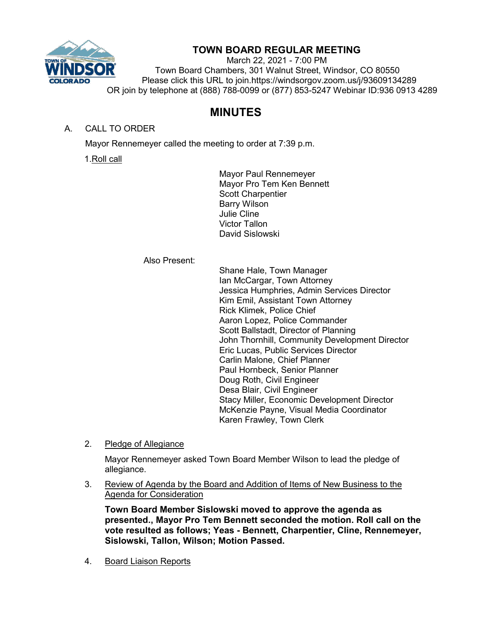

## **TOWN BOARD REGULAR MEETING**

March 22, 2021 - 7:00 PM Town Board Chambers, 301 Walnut Street, Windsor, CO 80550 Please click this URL to join.https://windsorgov.zoom.us/j/93609134289 OR join by telephone at (888) 788-0099 or (877) 853-5247 Webinar ID:936 0913 4289

# **MINUTES**

### A. CALL TO ORDER

Mayor Rennemeyer called the meeting to order at 7:39 p.m.

1.Roll call

Mayor Paul Rennemeyer Mayor Pro Tem Ken Bennett Scott Charpentier Barry Wilson Julie Cline Victor Tallon David Sislowski

Also Present:

Shane Hale, Town Manager Ian McCargar, Town Attorney Jessica Humphries, Admin Services Director Kim Emil, Assistant Town Attorney Rick Klimek, Police Chief Aaron Lopez, Police Commander Scott Ballstadt, Director of Planning John Thornhill, Community Development Director Eric Lucas, Public Services Director Carlin Malone, Chief Planner Paul Hornbeck, Senior Planner Doug Roth, Civil Engineer Desa Blair, Civil Engineer Stacy Miller, Economic Development Director McKenzie Payne, Visual Media Coordinator Karen Frawley, Town Clerk

2. Pledge of Allegiance

Mayor Rennemeyer asked Town Board Member Wilson to lead the pledge of allegiance.

3. Review of Agenda by the Board and Addition of Items of New Business to the Agenda for Consideration

**Town Board Member Sislowski moved to approve the agenda as presented., Mayor Pro Tem Bennett seconded the motion. Roll call on the vote resulted as follows; Yeas - Bennett, Charpentier, Cline, Rennemeyer, Sislowski, Tallon, Wilson; Motion Passed.**

4. Board Liaison Reports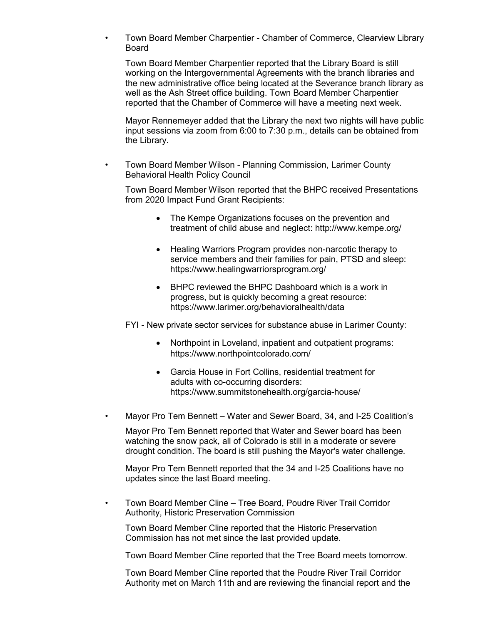• Town Board Member Charpentier - Chamber of Commerce, Clearview Library Board

Town Board Member Charpentier reported that the Library Board is still working on the Intergovernmental Agreements with the branch libraries and the new administrative office being located at the Severance branch library as well as the Ash Street office building. Town Board Member Charpentier reported that the Chamber of Commerce will have a meeting next week.

Mayor Rennemeyer added that the Library the next two nights will have public input sessions via zoom from 6:00 to 7:30 p.m., details can be obtained from the Library.

• Town Board Member Wilson - Planning Commission, Larimer County Behavioral Health Policy Council

Town Board Member Wilson reported that the BHPC received Presentations from 2020 Impact Fund Grant Recipients:

- The Kempe Organizations focuses on the prevention and treatment of child abuse and neglect: http://www.kempe.org/
- Healing Warriors Program provides non-narcotic therapy to service members and their families for pain, PTSD and sleep: https://www.healingwarriorsprogram.org/
- BHPC reviewed the BHPC Dashboard which is a work in progress, but is quickly becoming a great resource: https://www.larimer.org/behavioralhealth/data

FYI - New private sector services for substance abuse in Larimer County:

- Northpoint in Loveland, inpatient and outpatient programs: https://www.northpointcolorado.com/
- Garcia House in Fort Collins, residential treatment for adults with co-occurring disorders: https://www.summitstonehealth.org/garcia-house/
- Mayor Pro Tem Bennett Water and Sewer Board, 34, and I-25 Coalition's

Mayor Pro Tem Bennett reported that Water and Sewer board has been watching the snow pack, all of Colorado is still in a moderate or severe drought condition. The board is still pushing the Mayor's water challenge.

Mayor Pro Tem Bennett reported that the 34 and I-25 Coalitions have no updates since the last Board meeting.

• Town Board Member Cline – Tree Board, Poudre River Trail Corridor Authority, Historic Preservation Commission

Town Board Member Cline reported that the Historic Preservation Commission has not met since the last provided update.

Town Board Member Cline reported that the Tree Board meets tomorrow.

Town Board Member Cline reported that the Poudre River Trail Corridor Authority met on March 11th and are reviewing the financial report and the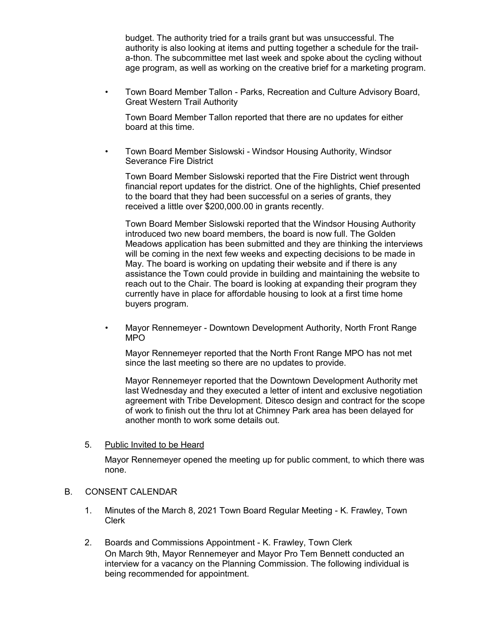budget. The authority tried for a trails grant but was unsuccessful. The authority is also looking at items and putting together a schedule for the traila-thon. The subcommittee met last week and spoke about the cycling without age program, as well as working on the creative brief for a marketing program.

• Town Board Member Tallon - Parks, Recreation and Culture Advisory Board, Great Western Trail Authority

Town Board Member Tallon reported that there are no updates for either board at this time.

• Town Board Member Sislowski - Windsor Housing Authority, Windsor Severance Fire District

Town Board Member Sislowski reported that the Fire District went through financial report updates for the district. One of the highlights, Chief presented to the board that they had been successful on a series of grants, they received a little over \$200,000.00 in grants recently.

Town Board Member Sislowski reported that the Windsor Housing Authority introduced two new board members, the board is now full. The Golden Meadows application has been submitted and they are thinking the interviews will be coming in the next few weeks and expecting decisions to be made in May. The board is working on updating their website and if there is any assistance the Town could provide in building and maintaining the website to reach out to the Chair. The board is looking at expanding their program they currently have in place for affordable housing to look at a first time home buyers program.

• Mayor Rennemeyer - Downtown Development Authority, North Front Range MPO

Mayor Rennemeyer reported that the North Front Range MPO has not met since the last meeting so there are no updates to provide.

Mayor Rennemeyer reported that the Downtown Development Authority met last Wednesday and they executed a letter of intent and exclusive negotiation agreement with Tribe Development. Ditesco design and contract for the scope of work to finish out the thru lot at Chimney Park area has been delayed for another month to work some details out.

#### 5. Public Invited to be Heard

Mayor Rennemeyer opened the meeting up for public comment, to which there was none.

#### B. CONSENT CALENDAR

- 1. Minutes of the March 8, 2021 Town Board Regular Meeting K. Frawley, Town Clerk
- 2. Boards and Commissions Appointment K. Frawley, Town Clerk On March 9th, Mayor Rennemeyer and Mayor Pro Tem Bennett conducted an interview for a vacancy on the Planning Commission. The following individual is being recommended for appointment.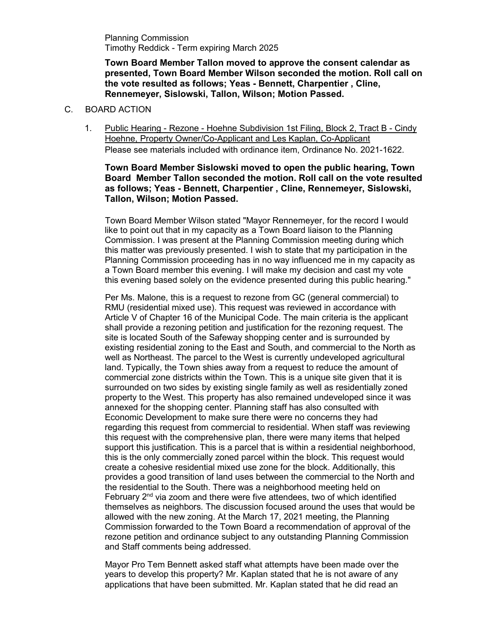Planning Commission Timothy Reddick - Term expiring March 2025

**Town Board Member Tallon moved to approve the consent calendar as presented, Town Board Member Wilson seconded the motion. Roll call on the vote resulted as follows; Yeas - Bennett, Charpentier , Cline, Rennemeyer, Sislowski, Tallon, Wilson; Motion Passed.**

#### C. BOARD ACTION

1. Public Hearing - Rezone - Hoehne Subdivision 1st Filing, Block 2, Tract B - Cindy Hoehne, Property Owner/Co-Applicant and Les Kaplan, Co-Applicant Please see materials included with ordinance item, Ordinance No. 2021-1622.

#### **Town Board Member Sislowski moved to open the public hearing, Town Board Member Tallon seconded the motion. Roll call on the vote resulted as follows; Yeas - Bennett, Charpentier , Cline, Rennemeyer, Sislowski, Tallon, Wilson; Motion Passed.**

Town Board Member Wilson stated "Mayor Rennemeyer, for the record I would like to point out that in my capacity as a Town Board liaison to the Planning Commission. I was present at the Planning Commission meeting during which this matter was previously presented. I wish to state that my participation in the Planning Commission proceeding has in no way influenced me in my capacity as a Town Board member this evening. I will make my decision and cast my vote this evening based solely on the evidence presented during this public hearing."

Per Ms. Malone, this is a request to rezone from GC (general commercial) to RMU (residential mixed use). This request was reviewed in accordance with Article V of Chapter 16 of the Municipal Code. The main criteria is the applicant shall provide a rezoning petition and justification for the rezoning request. The site is located South of the Safeway shopping center and is surrounded by existing residential zoning to the East and South, and commercial to the North as well as Northeast. The parcel to the West is currently undeveloped agricultural land. Typically, the Town shies away from a request to reduce the amount of commercial zone districts within the Town. This is a unique site given that it is surrounded on two sides by existing single family as well as residentially zoned property to the West. This property has also remained undeveloped since it was annexed for the shopping center. Planning staff has also consulted with Economic Development to make sure there were no concerns they had regarding this request from commercial to residential. When staff was reviewing this request with the comprehensive plan, there were many items that helped support this justification. This is a parcel that is within a residential neighborhood, this is the only commercially zoned parcel within the block. This request would create a cohesive residential mixed use zone for the block. Additionally, this provides a good transition of land uses between the commercial to the North and the residential to the South. There was a neighborhood meeting held on February  $2<sup>nd</sup>$  via zoom and there were five attendees, two of which identified themselves as neighbors. The discussion focused around the uses that would be allowed with the new zoning. At the March 17, 2021 meeting, the Planning Commission forwarded to the Town Board a recommendation of approval of the rezone petition and ordinance subject to any outstanding Planning Commission and Staff comments being addressed.

Mayor Pro Tem Bennett asked staff what attempts have been made over the years to develop this property? Mr. Kaplan stated that he is not aware of any applications that have been submitted. Mr. Kaplan stated that he did read an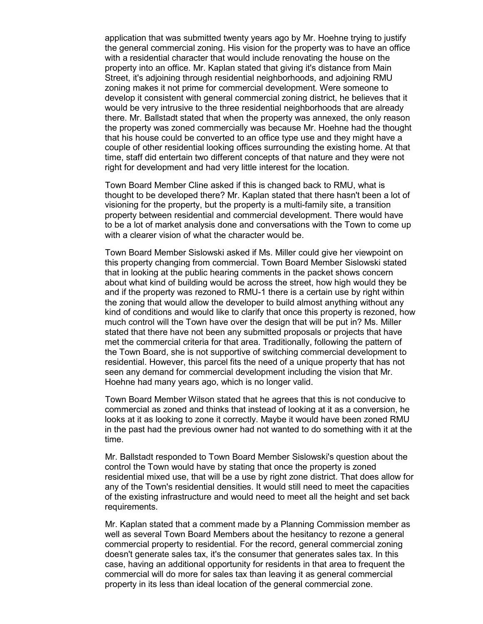application that was submitted twenty years ago by Mr. Hoehne trying to justify the general commercial zoning. His vision for the property was to have an office with a residential character that would include renovating the house on the property into an office. Mr. Kaplan stated that giving it's distance from Main Street, it's adjoining through residential neighborhoods, and adjoining RMU zoning makes it not prime for commercial development. Were someone to develop it consistent with general commercial zoning district, he believes that it would be very intrusive to the three residential neighborhoods that are already there. Mr. Ballstadt stated that when the property was annexed, the only reason the property was zoned commercially was because Mr. Hoehne had the thought that his house could be converted to an office type use and they might have a couple of other residential looking offices surrounding the existing home. At that time, staff did entertain two different concepts of that nature and they were not right for development and had very little interest for the location.

Town Board Member Cline asked if this is changed back to RMU, what is thought to be developed there? Mr. Kaplan stated that there hasn't been a lot of visioning for the property, but the property is a multi-family site, a transition property between residential and commercial development. There would have to be a lot of market analysis done and conversations with the Town to come up with a clearer vision of what the character would be.

Town Board Member Sislowski asked if Ms. Miller could give her viewpoint on this property changing from commercial. Town Board Member Sislowski stated that in looking at the public hearing comments in the packet shows concern about what kind of building would be across the street, how high would they be and if the property was rezoned to RMU-1 there is a certain use by right within the zoning that would allow the developer to build almost anything without any kind of conditions and would like to clarify that once this property is rezoned, how much control will the Town have over the design that will be put in? Ms. Miller stated that there have not been any submitted proposals or projects that have met the commercial criteria for that area. Traditionally, following the pattern of the Town Board, she is not supportive of switching commercial development to residential. However, this parcel fits the need of a unique property that has not seen any demand for commercial development including the vision that Mr. Hoehne had many years ago, which is no longer valid.

Town Board Member Wilson stated that he agrees that this is not conducive to commercial as zoned and thinks that instead of looking at it as a conversion, he looks at it as looking to zone it correctly. Maybe it would have been zoned RMU in the past had the previous owner had not wanted to do something with it at the time.

Mr. Ballstadt responded to Town Board Member Sislowski's question about the control the Town would have by stating that once the property is zoned residential mixed use, that will be a use by right zone district. That does allow for any of the Town's residential densities. It would still need to meet the capacities of the existing infrastructure and would need to meet all the height and set back requirements.

Mr. Kaplan stated that a comment made by a Planning Commission member as well as several Town Board Members about the hesitancy to rezone a general commercial property to residential. For the record, general commercial zoning doesn't generate sales tax, it's the consumer that generates sales tax. In this case, having an additional opportunity for residents in that area to frequent the commercial will do more for sales tax than leaving it as general commercial property in its less than ideal location of the general commercial zone.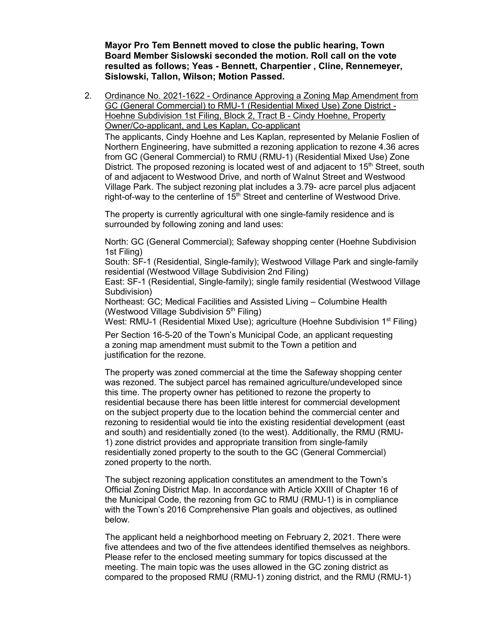**Mayor Pro Tem Bennett moved to close the public hearing, Town Board Member Sislowski seconded the motion. Roll call on the vote resulted as follows; Yeas - Bennett, Charpentier , Cline, Rennemeyer, Sislowski, Tallon, Wilson; Motion Passed.**

2. Ordinance No. 2021-1622 - Ordinance Approving a Zoning Map Amendment from GC (General Commercial) to RMU-1 (Residential Mixed Use) Zone District - Hoehne Subdivision 1st Filing, Block 2, Tract B - Cindy Hoehne, Property Owner/Co-applicant, and Les Kaplan, Co-applicant The applicants, Cindy Hoehne and Les Kaplan, represented by Melanie Foslien of Northern Engineering, have submitted a rezoning application to rezone 4.36 acres from GC (General Commercial) to RMU (RMU-1) (Residential Mixed Use) Zone District. The proposed rezoning is located west of and adjacent to  $15<sup>th</sup>$  Street, south of and adjacent to Westwood Drive, and north of Walnut Street and Westwood Village Park. The subject rezoning plat includes a 3.79- acre parcel plus adjacent right-of-way to the centerline of  $15<sup>th</sup>$  Street and centerline of Westwood Drive.

The property is currently agricultural with one single-family residence and is surrounded by following zoning and land uses:

North: GC (General Commercial); Safeway shopping center (Hoehne Subdivision 1st Filing)

South: SF-1 (Residential, Single-family); Westwood Village Park and single-family residential (Westwood Village Subdivision 2nd Filing)

East: SF-1 (Residential, Single-family); single family residential (Westwood Village Subdivision)

Northeast: GC; Medical Facilities and Assisted Living – Columbine Health (Westwood Village Subdivision  $5<sup>th</sup>$  Filing)

West: RMU-1 (Residential Mixed Use); agriculture (Hoehne Subdivision 1<sup>st</sup> Filing)

Per Section 16-5-20 of the Town's Municipal Code, an applicant requesting a zoning map amendment must submit to the Town a petition and justification for the rezone.

The property was zoned commercial at the time the Safeway shopping center was rezoned. The subject parcel has remained agriculture/undeveloped since this time. The property owner has petitioned to rezone the property to residential because there has been little interest for commercial development on the subject property due to the location behind the commercial center and rezoning to residential would tie into the existing residential development (east and south) and residentially zoned (to the west). Additionally, the RMU (RMU-1) zone district provides and appropriate transition from single-family residentially zoned property to the south to the GC (General Commercial) zoned property to the north.

The subject rezoning application constitutes an amendment to the Town's Official Zoning District Map. In accordance with Article XXIII of Chapter 16 of the Municipal Code, the rezoning from GC to RMU (RMU-1) is in compliance with the Town's 2016 Comprehensive Plan goals and objectives, as outlined below.

The applicant held a neighborhood meeting on February 2, 2021. There were five attendees and two of the five attendees identified themselves as neighbors. Please refer to the enclosed meeting summary for topics discussed at the meeting. The main topic was the uses allowed in the GC zoning district as compared to the proposed RMU (RMU-1) zoning district, and the RMU (RMU-1)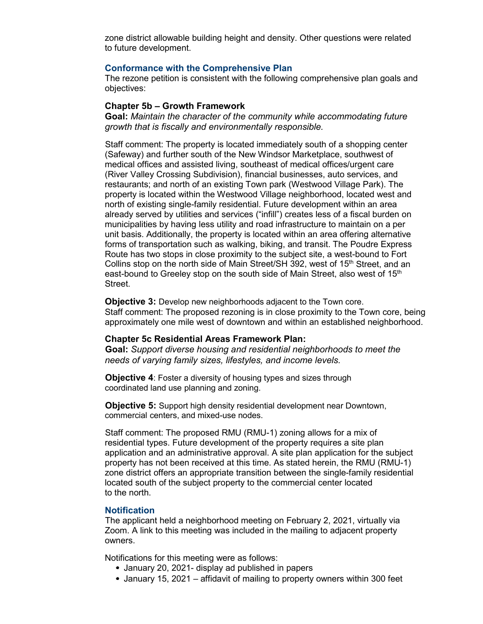zone district allowable building height and density. Other questions were related to future development.

#### **Conformance with the Comprehensive Plan**

The rezone petition is consistent with the following comprehensive plan goals and objectives:

#### **Chapter 5b – Growth Framework**

**Goal:** *Maintain the character of the community while accommodating future growth that is fiscally and environmentally responsible.*

Staff comment: The property is located immediately south of a shopping center (Safeway) and further south of the New Windsor Marketplace, southwest of medical offices and assisted living, southeast of medical offices/urgent care (River Valley Crossing Subdivision), financial businesses, auto services, and restaurants; and north of an existing Town park (Westwood Village Park). The property is located within the Westwood Village neighborhood, located west and north of existing single-family residential. Future development within an area already served by utilities and services ("infill") creates less of a fiscal burden on municipalities by having less utility and road infrastructure to maintain on a per unit basis. Additionally, the property is located within an area offering alternative forms of transportation such as walking, biking, and transit. The Poudre Express Route has two stops in close proximity to the subject site, a west-bound to Fort Collins stop on the north side of Main Street/SH 392, west of  $15<sup>th</sup>$  Street, and an east-bound to Greeley stop on the south side of Main Street, also west of 15<sup>th</sup> Street.

**Objective 3:** Develop new neighborhoods adjacent to the Town core. Staff comment: The proposed rezoning is in close proximity to the Town core, being approximately one mile west of downtown and within an established neighborhood.

#### **Chapter 5c Residential Areas Framework Plan:**

**Goal:** *Support diverse housing and residential neighborhoods to meet the needs of varying family sizes, lifestyles, and income levels.*

**Objective 4:** Foster a diversity of housing types and sizes through coordinated land use planning and zoning.

**Objective 5:** Support high density residential development near Downtown, commercial centers, and mixed-use nodes.

Staff comment: The proposed RMU (RMU-1) zoning allows for a mix of residential types. Future development of the property requires a site plan application and an administrative approval. A site plan application for the subject property has not been received at this time. As stated herein, the RMU (RMU-1) zone district offers an appropriate transition between the single-family residential located south of the subject property to the commercial center located to the north.

#### **Notification**

The applicant held a neighborhood meeting on February 2, 2021, virtually via Zoom. A link to this meeting was included in the mailing to adjacent property owners.

Notifications for this meeting were as follows:

- January 20, 2021- display ad published in papers
- January 15, 2021 affidavit of mailing to property owners within 300 feet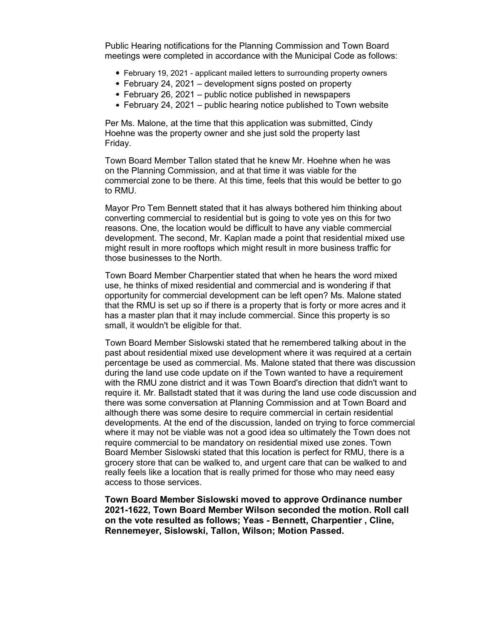Public Hearing notifications for the Planning Commission and Town Board meetings were completed in accordance with the Municipal Code as follows:

- February 19, 2021 applicant mailed letters to surrounding property owners
- February 24, 2021 development signs posted on property
- February 26, 2021 public notice published in newspapers
- $\bullet$  February 24, 2021 public hearing notice published to Town website

Per Ms. Malone, at the time that this application was submitted, Cindy Hoehne was the property owner and she just sold the property last Friday.

Town Board Member Tallon stated that he knew Mr. Hoehne when he was on the Planning Commission, and at that time it was viable for the commercial zone to be there. At this time, feels that this would be better to go to RMU.

Mayor Pro Tem Bennett stated that it has always bothered him thinking about converting commercial to residential but is going to vote yes on this for two reasons. One, the location would be difficult to have any viable commercial development. The second, Mr. Kaplan made a point that residential mixed use might result in more rooftops which might result in more business traffic for those businesses to the North.

Town Board Member Charpentier stated that when he hears the word mixed use, he thinks of mixed residential and commercial and is wondering if that opportunity for commercial development can be left open? Ms. Malone stated that the RMU is set up so if there is a property that is forty or more acres and it has a master plan that it may include commercial. Since this property is so small, it wouldn't be eligible for that.

Town Board Member Sislowski stated that he remembered talking about in the past about residential mixed use development where it was required at a certain percentage be used as commercial. Ms. Malone stated that there was discussion during the land use code update on if the Town wanted to have a requirement with the RMU zone district and it was Town Board's direction that didn't want to require it. Mr. Ballstadt stated that it was during the land use code discussion and there was some conversation at Planning Commission and at Town Board and although there was some desire to require commercial in certain residential developments. At the end of the discussion, landed on trying to force commercial where it may not be viable was not a good idea so ultimately the Town does not require commercial to be mandatory on residential mixed use zones. Town Board Member Sislowski stated that this location is perfect for RMU, there is a grocery store that can be walked to, and urgent care that can be walked to and really feels like a location that is really primed for those who may need easy access to those services.

**Town Board Member Sislowski moved to approve Ordinance number 2021-1622, Town Board Member Wilson seconded the motion. Roll call on the vote resulted as follows; Yeas - Bennett, Charpentier , Cline, Rennemeyer, Sislowski, Tallon, Wilson; Motion Passed.**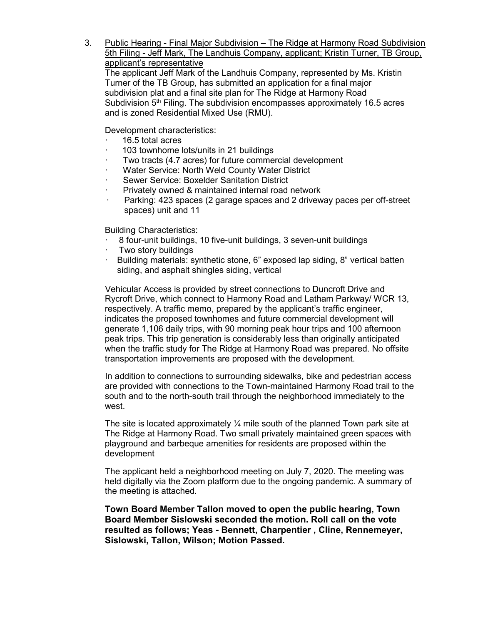3. Public Hearing - Final Major Subdivision – The Ridge at Harmony Road Subdivision 5th Filing - Jeff Mark, The Landhuis Company, applicant; Kristin Turner, TB Group, applicant's representative The applicant Jeff Mark of the Landhuis Company, represented by Ms. Kristin Turner of the TB Group, has submitted an application for a final major subdivision plat and a final site plan for The Ridge at Harmony Road Subdivision  $5<sup>th</sup>$  Filing. The subdivision encompasses approximately 16.5 acres and is zoned Residential Mixed Use (RMU).

Development characteristics:

- · 16.5 total acres
- 103 townhome lots/units in 21 buildings
- Two tracts (4.7 acres) for future commercial development
- Water Service: North Weld County Water District
- Sewer Service: Boxelder Sanitation District
- Privately owned & maintained internal road network
- Parking: 423 spaces (2 garage spaces and 2 driveway paces per off-street spaces) unit and 11

Building Characteristics:

- · 8 four-unit buildings, 10 five-unit buildings, 3 seven-unit buildings
- · Two story buildings
- · Building materials: synthetic stone, 6" exposed lap siding, 8" vertical batten siding, and asphalt shingles siding, vertical

Vehicular Access is provided by street connections to Duncroft Drive and Rycroft Drive, which connect to Harmony Road and Latham Parkway/ WCR 13, respectively. A traffic memo, prepared by the applicant's traffic engineer, indicates the proposed townhomes and future commercial development will generate 1,106 daily trips, with 90 morning peak hour trips and 100 afternoon peak trips. This trip generation is considerably less than originally anticipated when the traffic study for The Ridge at Harmony Road was prepared. No offsite transportation improvements are proposed with the development.

In addition to connections to surrounding sidewalks, bike and pedestrian access are provided with connections to the Town-maintained Harmony Road trail to the south and to the north-south trail through the neighborhood immediately to the west.

The site is located approximately  $\frac{1}{4}$  mile south of the planned Town park site at The Ridge at Harmony Road. Two small privately maintained green spaces with playground and barbeque amenities for residents are proposed within the development

The applicant held a neighborhood meeting on July 7, 2020. The meeting was held digitally via the Zoom platform due to the ongoing pandemic. A summary of the meeting is attached.

**Town Board Member Tallon moved to open the public hearing, Town Board Member Sislowski seconded the motion. Roll call on the vote resulted as follows; Yeas - Bennett, Charpentier , Cline, Rennemeyer, Sislowski, Tallon, Wilson; Motion Passed.**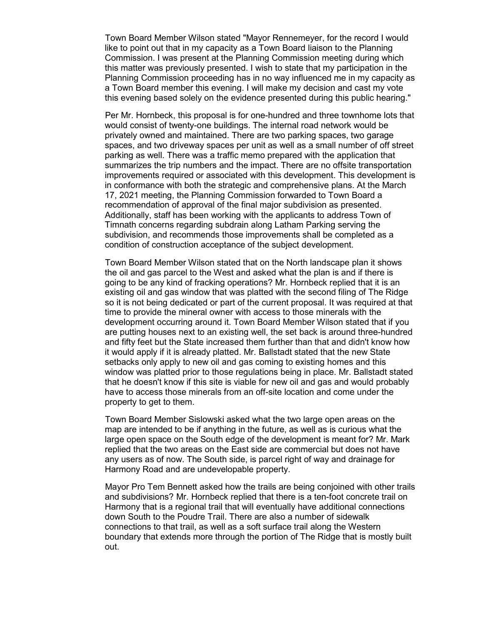Town Board Member Wilson stated "Mayor Rennemeyer, for the record I would like to point out that in my capacity as a Town Board liaison to the Planning Commission. I was present at the Planning Commission meeting during which this matter was previously presented. I wish to state that my participation in the Planning Commission proceeding has in no way influenced me in my capacity as a Town Board member this evening. I will make my decision and cast my vote this evening based solely on the evidence presented during this public hearing."

Per Mr. Hornbeck, this proposal is for one-hundred and three townhome lots that would consist of twenty-one buildings. The internal road network would be privately owned and maintained. There are two parking spaces, two garage spaces, and two driveway spaces per unit as well as a small number of off street parking as well. There was a traffic memo prepared with the application that summarizes the trip numbers and the impact. There are no offsite transportation improvements required or associated with this development. This development is in conformance with both the strategic and comprehensive plans. At the March 17, 2021 meeting, the Planning Commission forwarded to Town Board a recommendation of approval of the final major subdivision as presented. Additionally, staff has been working with the applicants to address Town of Timnath concerns regarding subdrain along Latham Parking serving the subdivision, and recommends those improvements shall be completed as a condition of construction acceptance of the subject development.

Town Board Member Wilson stated that on the North landscape plan it shows the oil and gas parcel to the West and asked what the plan is and if there is going to be any kind of fracking operations? Mr. Hornbeck replied that it is an existing oil and gas window that was platted with the second filing of The Ridge so it is not being dedicated or part of the current proposal. It was required at that time to provide the mineral owner with access to those minerals with the development occurring around it. Town Board Member Wilson stated that if you are putting houses next to an existing well, the set back is around three-hundred and fifty feet but the State increased them further than that and didn't know how it would apply if it is already platted. Mr. Ballstadt stated that the new State setbacks only apply to new oil and gas coming to existing homes and this window was platted prior to those regulations being in place. Mr. Ballstadt stated that he doesn't know if this site is viable for new oil and gas and would probably have to access those minerals from an off-site location and come under the property to get to them.

Town Board Member Sislowski asked what the two large open areas on the map are intended to be if anything in the future, as well as is curious what the large open space on the South edge of the development is meant for? Mr. Mark replied that the two areas on the East side are commercial but does not have any users as of now. The South side, is parcel right of way and drainage for Harmony Road and are undevelopable property.

Mayor Pro Tem Bennett asked how the trails are being conjoined with other trails and subdivisions? Mr. Hornbeck replied that there is a ten-foot concrete trail on Harmony that is a regional trail that will eventually have additional connections down South to the Poudre Trail. There are also a number of sidewalk connections to that trail, as well as a soft surface trail along the Western boundary that extends more through the portion of The Ridge that is mostly built out.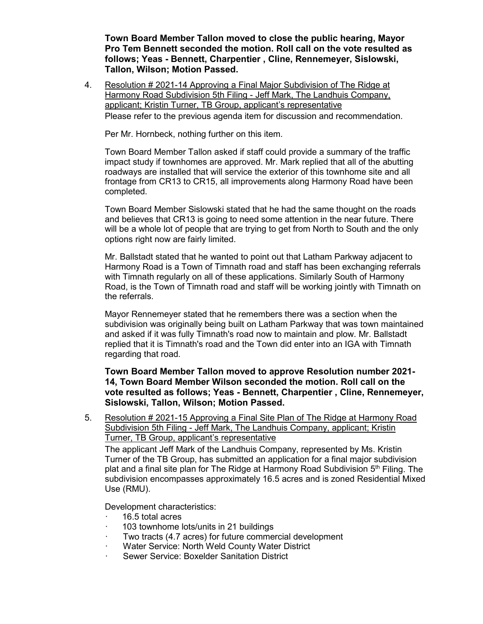**Town Board Member Tallon moved to close the public hearing, Mayor Pro Tem Bennett seconded the motion. Roll call on the vote resulted as follows; Yeas - Bennett, Charpentier , Cline, Rennemeyer, Sislowski, Tallon, Wilson; Motion Passed.**

4. Resolution # 2021-14 Approving a Final Major Subdivision of The Ridge at Harmony Road Subdivision 5th Filing - Jeff Mark, The Landhuis Company, applicant; Kristin Turner, TB Group, applicant's representative

Please refer to the previous agenda item for discussion and recommendation.

Per Mr. Hornbeck, nothing further on this item.

Town Board Member Tallon asked if staff could provide a summary of the traffic impact study if townhomes are approved. Mr. Mark replied that all of the abutting roadways are installed that will service the exterior of this townhome site and all frontage from CR13 to CR15, all improvements along Harmony Road have been completed.

Town Board Member Sislowski stated that he had the same thought on the roads and believes that CR13 is going to need some attention in the near future. There will be a whole lot of people that are trying to get from North to South and the only options right now are fairly limited.

Mr. Ballstadt stated that he wanted to point out that Latham Parkway adjacent to Harmony Road is a Town of Timnath road and staff has been exchanging referrals with Timnath regularly on all of these applications. Similarly South of Harmony Road, is the Town of Timnath road and staff will be working jointly with Timnath on the referrals.

Mayor Rennemeyer stated that he remembers there was a section when the subdivision was originally being built on Latham Parkway that was town maintained and asked if it was fully Timnath's road now to maintain and plow. Mr. Ballstadt replied that it is Timnath's road and the Town did enter into an IGA with Timnath regarding that road.

**Town Board Member Tallon moved to approve Resolution number 2021- 14, Town Board Member Wilson seconded the motion. Roll call on the vote resulted as follows; Yeas - Bennett, Charpentier , Cline, Rennemeyer, Sislowski, Tallon, Wilson; Motion Passed.**

5. Resolution # 2021-15 Approving a Final Site Plan of The Ridge at Harmony Road Subdivision 5th Filing - Jeff Mark, The Landhuis Company, applicant; Kristin Turner, TB Group, applicant's representative

The applicant Jeff Mark of the Landhuis Company, represented by Ms. Kristin Turner of the TB Group, has submitted an application for a final major subdivision plat and a final site plan for The Ridge at Harmony Road Subdivision 5<sup>th</sup> Filing. The subdivision encompasses approximately 16.5 acres and is zoned Residential Mixed Use (RMU).

Development characteristics:

- · 16.5 total acres
- 103 townhome lots/units in 21 buildings
- Two tracts (4.7 acres) for future commercial development
- Water Service: North Weld County Water District
- Sewer Service: Boxelder Sanitation District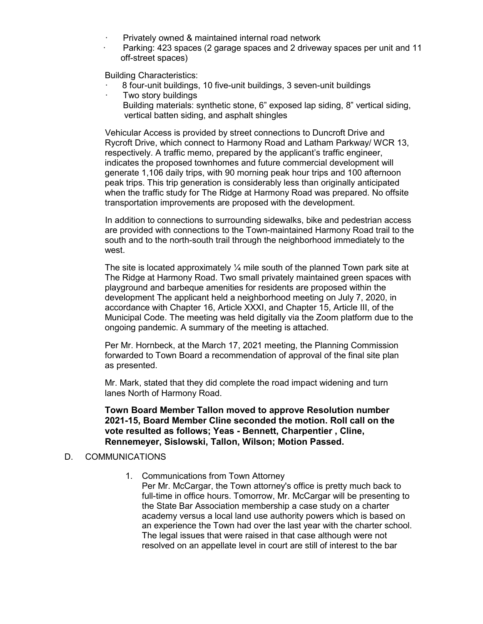- Privately owned & maintained internal road network
- Parking: 423 spaces (2 garage spaces and 2 driveway spaces per unit and 11 off-street spaces)

Building Characteristics:

- · 8 four-unit buildings, 10 five-unit buildings, 3 seven-unit buildings
- · Two story buildings
	- Building materials: synthetic stone, 6" exposed lap siding, 8" vertical siding, vertical batten siding, and asphalt shingles

Vehicular Access is provided by street connections to Duncroft Drive and Rycroft Drive, which connect to Harmony Road and Latham Parkway/ WCR 13, respectively. A traffic memo, prepared by the applicant's traffic engineer, indicates the proposed townhomes and future commercial development will generate 1,106 daily trips, with 90 morning peak hour trips and 100 afternoon peak trips. This trip generation is considerably less than originally anticipated when the traffic study for The Ridge at Harmony Road was prepared. No offsite transportation improvements are proposed with the development.

In addition to connections to surrounding sidewalks, bike and pedestrian access are provided with connections to the Town-maintained Harmony Road trail to the south and to the north-south trail through the neighborhood immediately to the west.

The site is located approximately  $\frac{1}{4}$  mile south of the planned Town park site at The Ridge at Harmony Road. Two small privately maintained green spaces with playground and barbeque amenities for residents are proposed within the development The applicant held a neighborhood meeting on July 7, 2020, in accordance with Chapter 16, Article XXXI, and Chapter 15, Article III, of the Municipal Code. The meeting was held digitally via the Zoom platform due to the ongoing pandemic. A summary of the meeting is attached.

Per Mr. Hornbeck, at the March 17, 2021 meeting, the Planning Commission forwarded to Town Board a recommendation of approval of the final site plan as presented.

Mr. Mark, stated that they did complete the road impact widening and turn lanes North of Harmony Road.

**Town Board Member Tallon moved to approve Resolution number 2021-15, Board Member Cline seconded the motion. Roll call on the vote resulted as follows; Yeas - Bennett, Charpentier , Cline, Rennemeyer, Sislowski, Tallon, Wilson; Motion Passed.**

#### D. COMMUNICATIONS

1. Communications from Town Attorney

Per Mr. McCargar, the Town attorney's office is pretty much back to full-time in office hours. Tomorrow, Mr. McCargar will be presenting to the State Bar Association membership a case study on a charter academy versus a local land use authority powers which is based on an experience the Town had over the last year with the charter school. The legal issues that were raised in that case although were not resolved on an appellate level in court are still of interest to the bar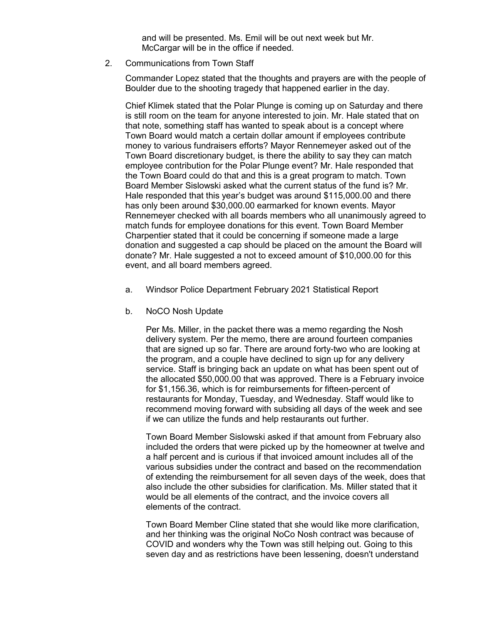and will be presented. Ms. Emil will be out next week but Mr. McCargar will be in the office if needed.

2. Communications from Town Staff

Commander Lopez stated that the thoughts and prayers are with the people of Boulder due to the shooting tragedy that happened earlier in the day.

Chief Klimek stated that the Polar Plunge is coming up on Saturday and there is still room on the team for anyone interested to join. Mr. Hale stated that on that note, something staff has wanted to speak about is a concept where Town Board would match a certain dollar amount if employees contribute money to various fundraisers efforts? Mayor Rennemeyer asked out of the Town Board discretionary budget, is there the ability to say they can match employee contribution for the Polar Plunge event? Mr. Hale responded that the Town Board could do that and this is a great program to match. Town Board Member Sislowski asked what the current status of the fund is? Mr. Hale responded that this year's budget was around \$115,000.00 and there has only been around \$30,000.00 earmarked for known events. Mayor Rennemeyer checked with all boards members who all unanimously agreed to match funds for employee donations for this event. Town Board Member Charpentier stated that it could be concerning if someone made a large donation and suggested a cap should be placed on the amount the Board will donate? Mr. Hale suggested a not to exceed amount of \$10,000.00 for this event, and all board members agreed.

- a. Windsor Police Department February 2021 Statistical Report
- b. NoCO Nosh Update

Per Ms. Miller, in the packet there was a memo regarding the Nosh delivery system. Per the memo, there are around fourteen companies that are signed up so far. There are around forty-two who are looking at the program, and a couple have declined to sign up for any delivery service. Staff is bringing back an update on what has been spent out of the allocated \$50,000.00 that was approved. There is a February invoice for \$1,156.36, which is for reimbursements for fifteen-percent of restaurants for Monday, Tuesday, and Wednesday. Staff would like to recommend moving forward with subsiding all days of the week and see if we can utilize the funds and help restaurants out further.

Town Board Member Sislowski asked if that amount from February also included the orders that were picked up by the homeowner at twelve and a half percent and is curious if that invoiced amount includes all of the various subsidies under the contract and based on the recommendation of extending the reimbursement for all seven days of the week, does that also include the other subsidies for clarification. Ms. Miller stated that it would be all elements of the contract, and the invoice covers all elements of the contract.

Town Board Member Cline stated that she would like more clarification, and her thinking was the original NoCo Nosh contract was because of COVID and wonders why the Town was still helping out. Going to this seven day and as restrictions have been lessening, doesn't understand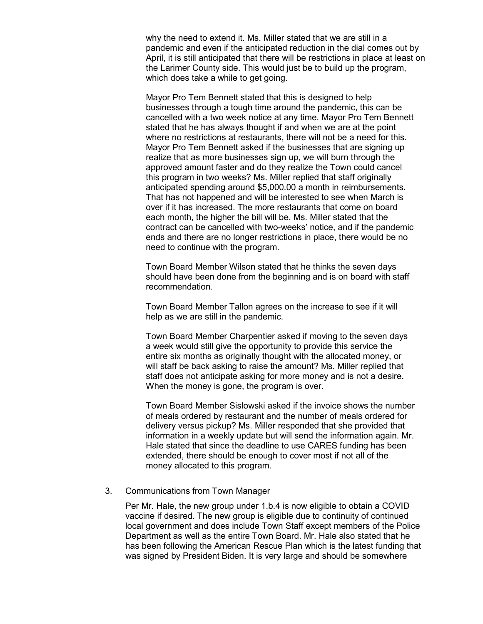why the need to extend it. Ms. Miller stated that we are still in a pandemic and even if the anticipated reduction in the dial comes out by April, it is still anticipated that there will be restrictions in place at least on the Larimer County side. This would just be to build up the program, which does take a while to get going.

Mayor Pro Tem Bennett stated that this is designed to help businesses through a tough time around the pandemic, this can be cancelled with a two week notice at any time. Mayor Pro Tem Bennett stated that he has always thought if and when we are at the point where no restrictions at restaurants, there will not be a need for this. Mayor Pro Tem Bennett asked if the businesses that are signing up realize that as more businesses sign up, we will burn through the approved amount faster and do they realize the Town could cancel this program in two weeks? Ms. Miller replied that staff originally anticipated spending around \$5,000.00 a month in reimbursements. That has not happened and will be interested to see when March is over if it has increased. The more restaurants that come on board each month, the higher the bill will be. Ms. Miller stated that the contract can be cancelled with two-weeks' notice, and if the pandemic ends and there are no longer restrictions in place, there would be no need to continue with the program.

Town Board Member Wilson stated that he thinks the seven days should have been done from the beginning and is on board with staff recommendation.

Town Board Member Tallon agrees on the increase to see if it will help as we are still in the pandemic.

Town Board Member Charpentier asked if moving to the seven days a week would still give the opportunity to provide this service the entire six months as originally thought with the allocated money, or will staff be back asking to raise the amount? Ms. Miller replied that staff does not anticipate asking for more money and is not a desire. When the money is gone, the program is over.

Town Board Member Sislowski asked if the invoice shows the number of meals ordered by restaurant and the number of meals ordered for delivery versus pickup? Ms. Miller responded that she provided that information in a weekly update but will send the information again. Mr. Hale stated that since the deadline to use CARES funding has been extended, there should be enough to cover most if not all of the money allocated to this program.

#### 3. Communications from Town Manager

Per Mr. Hale, the new group under 1.b.4 is now eligible to obtain a COVID vaccine if desired. The new group is eligible due to continuity of continued local government and does include Town Staff except members of the Police Department as well as the entire Town Board. Mr. Hale also stated that he has been following the American Rescue Plan which is the latest funding that was signed by President Biden. It is very large and should be somewhere